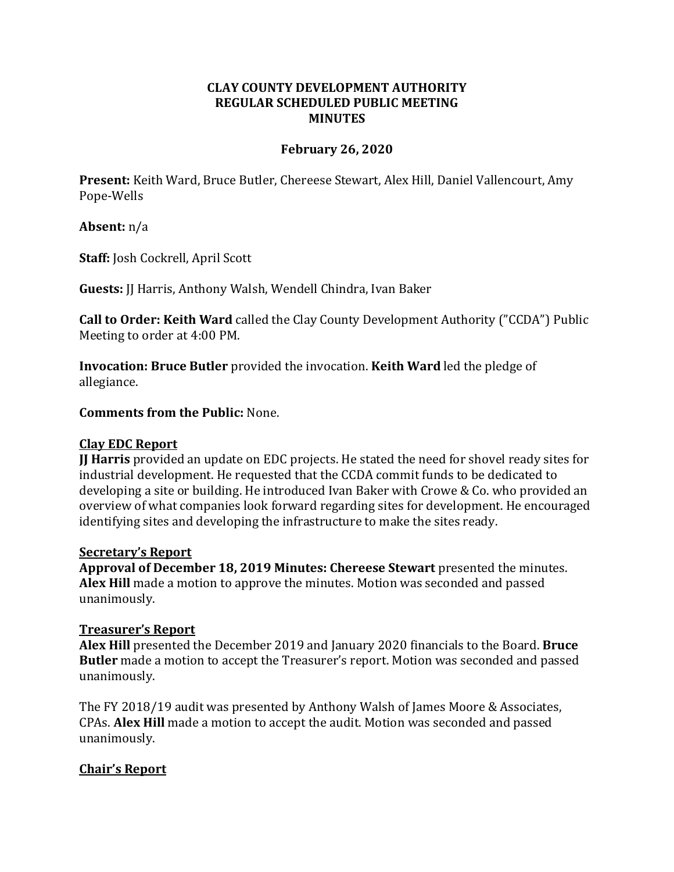# **CLAY COUNTY DEVELOPMENT AUTHORITY REGULAR SCHEDULED PUBLIC MEETING MINUTES**

### **February 26, 2020**

**Present:** Keith Ward, Bruce Butler, Chereese Stewart, Alex Hill, Daniel Vallencourt, Amy Pope-Wells

### **Absent:** n/a

**Staff:** Josh Cockrell, April Scott

**Guests:** JJ Harris, Anthony Walsh, Wendell Chindra, Ivan Baker

**Call to Order: Keith Ward** called the Clay County Development Authority ("CCDA") Public Meeting to order at 4:00 PM.

**Invocation: Bruce Butler** provided the invocation. **Keith Ward** led the pledge of allegiance.

#### **Comments from the Public:** None.

#### **Clay EDC Report**

**JJ Harris** provided an update on EDC projects. He stated the need for shovel ready sites for industrial development. He requested that the CCDA commit funds to be dedicated to developing a site or building. He introduced Ivan Baker with Crowe & Co. who provided an overview of what companies look forward regarding sites for development. He encouraged identifying sites and developing the infrastructure to make the sites ready.

#### **Secretary's Report**

**Approval of December 18, 2019 Minutes: Chereese Stewart** presented the minutes. **Alex Hill** made a motion to approve the minutes. Motion was seconded and passed unanimously.

#### **Treasurer's Report**

**Alex Hill** presented the December 2019 and January 2020 financials to the Board. **Bruce Butler** made a motion to accept the Treasurer's report. Motion was seconded and passed unanimously.

The FY 2018/19 audit was presented by Anthony Walsh of James Moore & Associates, CPAs. **Alex Hill** made a motion to accept the audit. Motion was seconded and passed unanimously.

# **Chair's Report**